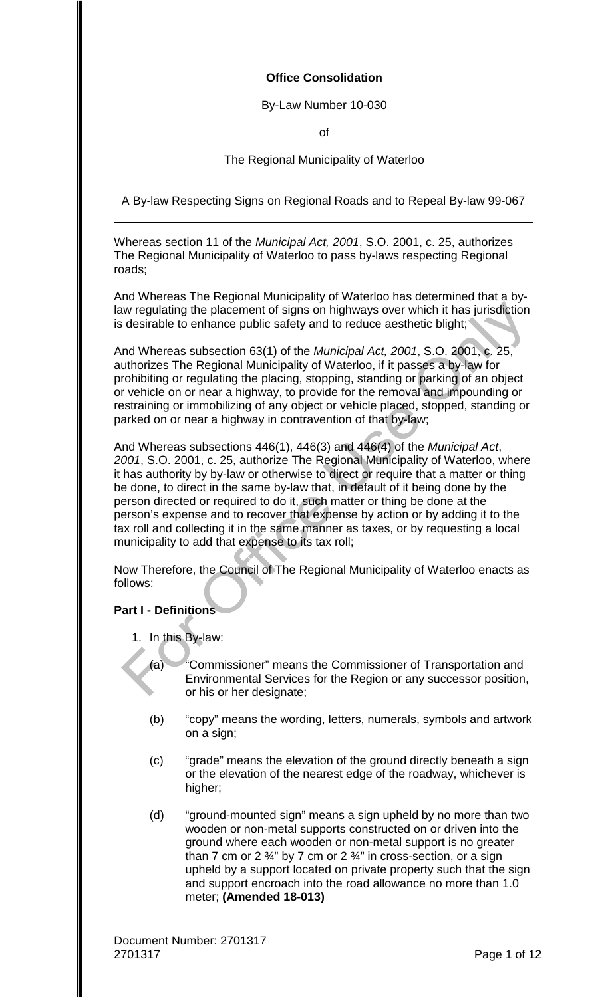# **Office Consolidation**

# By-Law Number 10-030

of

# The Regional Municipality of Waterloo

A By-law Respecting Signs on Regional Roads and to Repeal By-law 99-067

Whereas section 11 of the *Municipal Act, 2001*, S.O. 2001, c. 25, authorizes The Regional Municipality of Waterloo to pass by-laws respecting Regional roads;

And Whereas The Regional Municipality of Waterloo has determined that a bylaw regulating the placement of signs on highways over which it has jurisdiction is desirable to enhance public safety and to reduce aesthetic blight;

And Whereas subsection 63(1) of the *Municipal Act, 2001*, S.O. 2001, c. 25, authorizes The Regional Municipality of Waterloo, if it passes a by-law for prohibiting or regulating the placing, stopping, standing or parking of an object or vehicle on or near a highway, to provide for the removal and impounding or restraining or immobilizing of any object or vehicle placed, stopped, standing or parked on or near a highway in contravention of that by-law;

And Whereas subsections 446(1), 446(3) and 446(4) of the *Municipal Act*, *2001*, S.O. 2001, c. 25, authorize The Regional Municipality of Waterloo, where it has authority by by-law or otherwise to direct or require that a matter or thing be done, to direct in the same by-law that, in default of it being done by the person directed or required to do it, such matter or thing be done at the person's expense and to recover that expense by action or by adding it to the tax roll and collecting it in the same manner as taxes, or by requesting a local municipality to add that expense to its tax roll;

Now Therefore, the Council of The Regional Municipality of Waterloo enacts as follows:

# **Part I - Definitions**

1. In this By-law:

(a) "Commissioner" means the Commissioner of Transportation and Environmental Services for the Region or any successor position, or his or her designate;

- (b) "copy" means the wording, letters, numerals, symbols and artwork on a sign;
- (c) "grade" means the elevation of the ground directly beneath a sign or the elevation of the nearest edge of the roadway, whichever is higher;
- (d) "ground-mounted sign" means a sign upheld by no more than two wooden or non-metal supports constructed on or driven into the ground where each wooden or non-metal support is no greater than 7 cm or 2  $\frac{3}{4}$ " by 7 cm or 2  $\frac{3}{4}$ " in cross-section, or a sign upheld by a support located on private property such that the sign and support encroach into the road allowance no more than 1.0 meter; **(Amended 18-013)**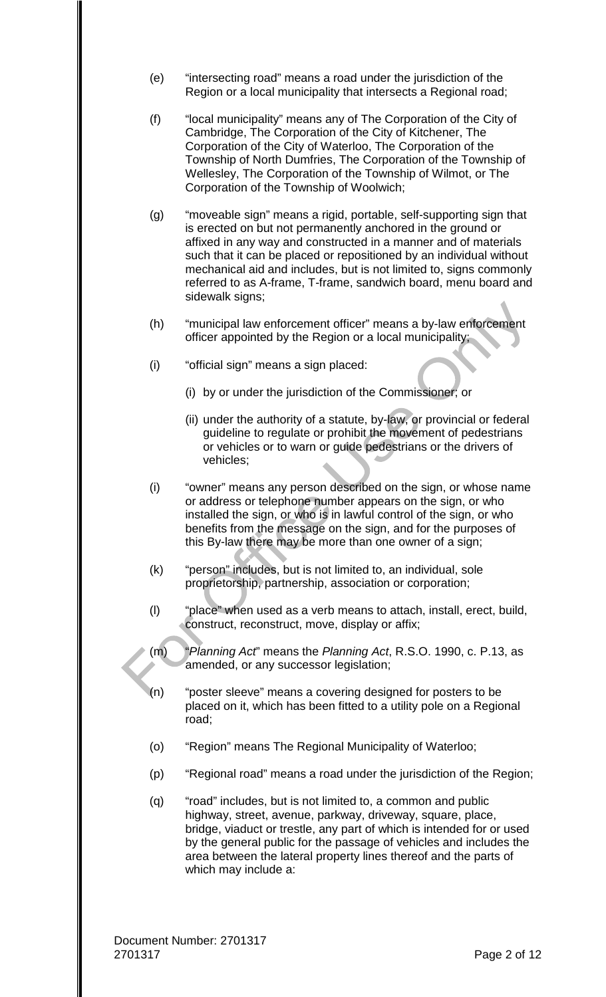- (e) "intersecting road" means a road under the jurisdiction of the Region or a local municipality that intersects a Regional road;
- (f) "local municipality" means any of The Corporation of the City of Cambridge, The Corporation of the City of Kitchener, The Corporation of the City of Waterloo, The Corporation of the Township of North Dumfries, The Corporation of the Township of Wellesley, The Corporation of the Township of Wilmot, or The Corporation of the Township of Woolwich;
- (g) "moveable sign" means a rigid, portable, self-supporting sign that is erected on but not permanently anchored in the ground or affixed in any way and constructed in a manner and of materials such that it can be placed or repositioned by an individual without mechanical aid and includes, but is not limited to, signs commonly referred to as A-frame, T-frame, sandwich board, menu board and sidewalk signs;
- (h) "municipal law enforcement officer" means a by-law enforcement officer appointed by the Region or a local municipality;
- (i) "official sign" means a sign placed:
	- (i) by or under the jurisdiction of the Commissioner; or
	- (ii) under the authority of a statute, by-law, or provincial or federal guideline to regulate or prohibit the movement of pedestrians or vehicles or to warn or guide pedestrians or the drivers of vehicles;
- (i) "owner" means any person described on the sign, or whose name or address or telephone number appears on the sign, or who installed the sign, or who is in lawful control of the sign, or who benefits from the message on the sign, and for the purposes of this By-law there may be more than one owner of a sign;
- (k) "person" includes, but is not limited to, an individual, sole proprietorship, partnership, association or corporation;
- (l) "place" when used as a verb means to attach, install, erect, build, construct, reconstruct, move, display or affix;
- (m) "*Planning Act*" means the *Planning Act*, R.S.O. 1990, c. P.13, as amended, or any successor legislation;
- (n) "poster sleeve" means a covering designed for posters to be placed on it, which has been fitted to a utility pole on a Regional road;
- (o) "Region" means The Regional Municipality of Waterloo;
- (p) "Regional road" means a road under the jurisdiction of the Region;
- (q) "road" includes, but is not limited to, a common and public highway, street, avenue, parkway, driveway, square, place, bridge, viaduct or trestle, any part of which is intended for or used by the general public for the passage of vehicles and includes the area between the lateral property lines thereof and the parts of which may include a: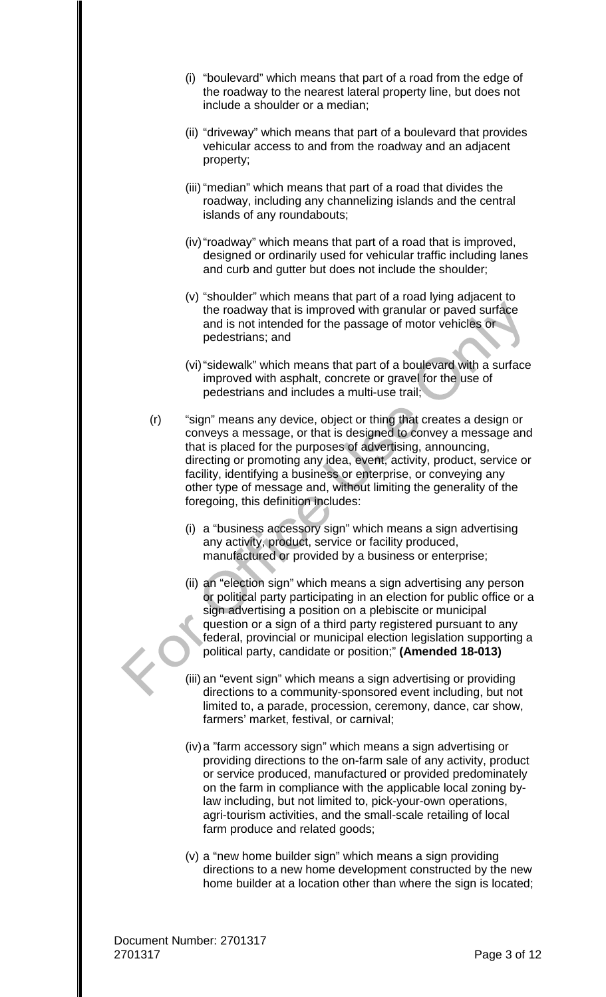- (i) "boulevard" which means that part of a road from the edge of the roadway to the nearest lateral property line, but does not include a shoulder or a median;
- (ii) "driveway" which means that part of a boulevard that provides vehicular access to and from the roadway and an adjacent property;
- (iii) "median" which means that part of a road that divides the roadway, including any channelizing islands and the central islands of any roundabouts;
- (iv)"roadway" which means that part of a road that is improved, designed or ordinarily used for vehicular traffic including lanes and curb and gutter but does not include the shoulder;
- (v) "shoulder" which means that part of a road lying adjacent to the roadway that is improved with granular or paved surface and is not intended for the passage of motor vehicles or pedestrians; and
- (vi)"sidewalk" which means that part of a boulevard with a surface improved with asphalt, concrete or gravel for the use of pedestrians and includes a multi-use trail;
- (r) "sign" means any device, object or thing that creates a design or conveys a message, or that is designed to convey a message and that is placed for the purposes of advertising, announcing, directing or promoting any idea, event, activity, product, service or facility, identifying a business or enterprise, or conveying any other type of message and, without limiting the generality of the foregoing, this definition includes:
	- (i) a "business accessory sign" which means a sign advertising any activity, product, service or facility produced, manufactured or provided by a business or enterprise;
	- (ii) an "election sign" which means a sign advertising any person or political party participating in an election for public office or a sign advertising a position on a plebiscite or municipal question or a sign of a third party registered pursuant to any federal, provincial or municipal election legislation supporting a political party, candidate or position;" **(Amended 18-013)**
	- (iii) an "event sign" which means a sign advertising or providing directions to a community-sponsored event including, but not limited to, a parade, procession, ceremony, dance, car show, farmers' market, festival, or carnival;
	- (iv)a "farm accessory sign" which means a sign advertising or providing directions to the on-farm sale of any activity, product or service produced, manufactured or provided predominately on the farm in compliance with the applicable local zoning bylaw including, but not limited to, pick-your-own operations, agri-tourism activities, and the small-scale retailing of local farm produce and related goods;
	- (v) a "new home builder sign" which means a sign providing directions to a new home development constructed by the new home builder at a location other than where the sign is located;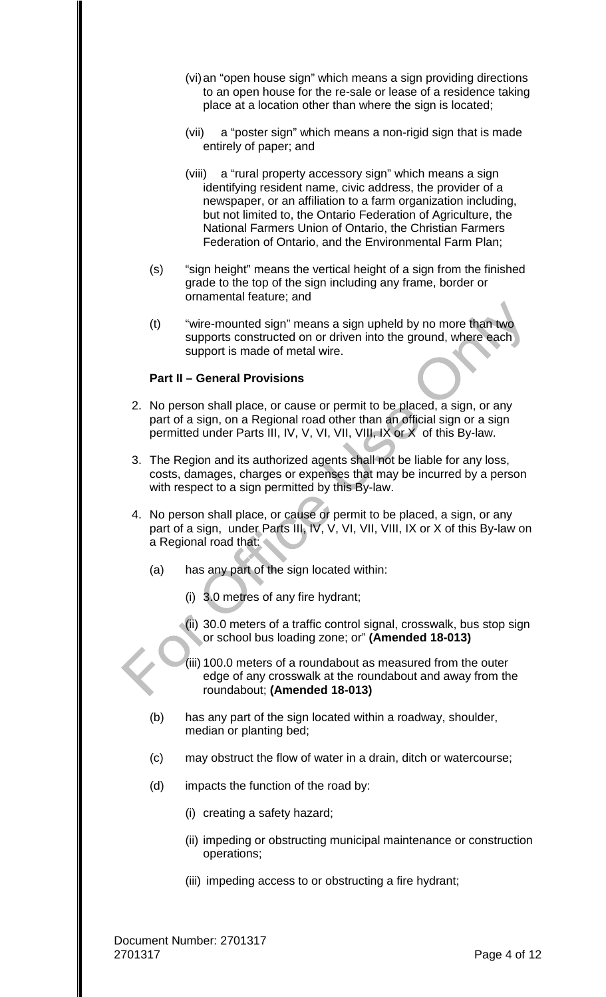- (vi)an "open house sign" which means a sign providing directions to an open house for the re-sale or lease of a residence taking place at a location other than where the sign is located;
- (vii) a "poster sign" which means a non-rigid sign that is made entirely of paper; and
- (viii) a "rural property accessory sign" which means a sign identifying resident name, civic address, the provider of a newspaper, or an affiliation to a farm organization including, but not limited to, the Ontario Federation of Agriculture, the National Farmers Union of Ontario, the Christian Farmers Federation of Ontario, and the Environmental Farm Plan;
- (s) "sign height" means the vertical height of a sign from the finished grade to the top of the sign including any frame, border or ornamental feature; and
- (t) "wire-mounted sign" means a sign upheld by no more than two supports constructed on or driven into the ground, where each support is made of metal wire.

# **Part II – General Provisions**

- 2. No person shall place, or cause or permit to be placed, a sign, or any part of a sign, on a Regional road other than an official sign or a sign permitted under Parts III, IV, V, VI, VII, VIII, IX or X of this By-law.
- 3. The Region and its authorized agents shall not be liable for any loss, costs, damages, charges or expenses that may be incurred by a person with respect to a sign permitted by this By-law.
- 4. No person shall place, or cause or permit to be placed, a sign, or any part of a sign, under Parts III, IV, V, VI, VII, VIII, IX or X of this By-law on a Regional road that:
	- (a) has any part of the sign located within:
		- (i) 3.0 metres of any fire hydrant;
		- (ii) 30.0 meters of a traffic control signal, crosswalk, bus stop sign or school bus loading zone; or" **(Amended 18-013)**
		- (iii) 100.0 meters of a roundabout as measured from the outer edge of any crosswalk at the roundabout and away from the roundabout; **(Amended 18-013)**
	- (b) has any part of the sign located within a roadway, shoulder, median or planting bed;
	- (c) may obstruct the flow of water in a drain, ditch or watercourse;
	- (d) impacts the function of the road by:
		- (i) creating a safety hazard;
		- (ii) impeding or obstructing municipal maintenance or construction operations;
		- (iii) impeding access to or obstructing a fire hydrant;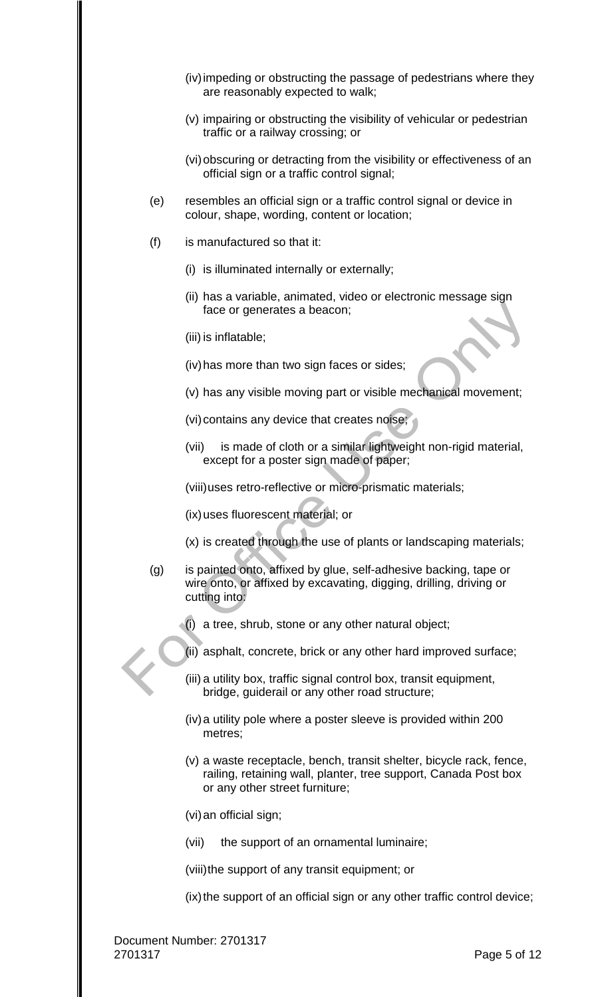- (iv)impeding or obstructing the passage of pedestrians where they are reasonably expected to walk;
- (v) impairing or obstructing the visibility of vehicular or pedestrian traffic or a railway crossing; or
- (vi) obscuring or detracting from the visibility or effectiveness of an official sign or a traffic control signal;
- (e) resembles an official sign or a traffic control signal or device in colour, shape, wording, content or location;
- (f) is manufactured so that it:
	- (i) is illuminated internally or externally;
	- (ii) has a variable, animated, video or electronic message sign face or generates a beacon;
	- (iii) is inflatable;
	- (iv)has more than two sign faces or sides;
	- (v) has any visible moving part or visible mechanical movement;
	- (vi) contains any device that creates noise;
	- (vii) is made of cloth or a similar lightweight non-rigid material, except for a poster sign made of paper;

(viii)uses retro-reflective or micro-prismatic materials;

- (ix) uses fluorescent material; or
- (x) is created through the use of plants or landscaping materials;
- (g) is painted onto, affixed by glue, self-adhesive backing, tape or wire onto, or affixed by excavating, digging, drilling, driving or cutting into:
	- (i) a tree, shrub, stone or any other natural object;
	- (ii) asphalt, concrete, brick or any other hard improved surface;
	- (iii) a utility box, traffic signal control box, transit equipment, bridge, guiderail or any other road structure;
	- (iv)a utility pole where a poster sleeve is provided within 200 metres;
	- (v) a waste receptacle, bench, transit shelter, bicycle rack, fence, railing, retaining wall, planter, tree support, Canada Post box or any other street furniture;
	- (vi)an official sign;
	- (vii) the support of an ornamental luminaire;

(viii)the support of any transit equipment; or

(ix) the support of an official sign or any other traffic control device;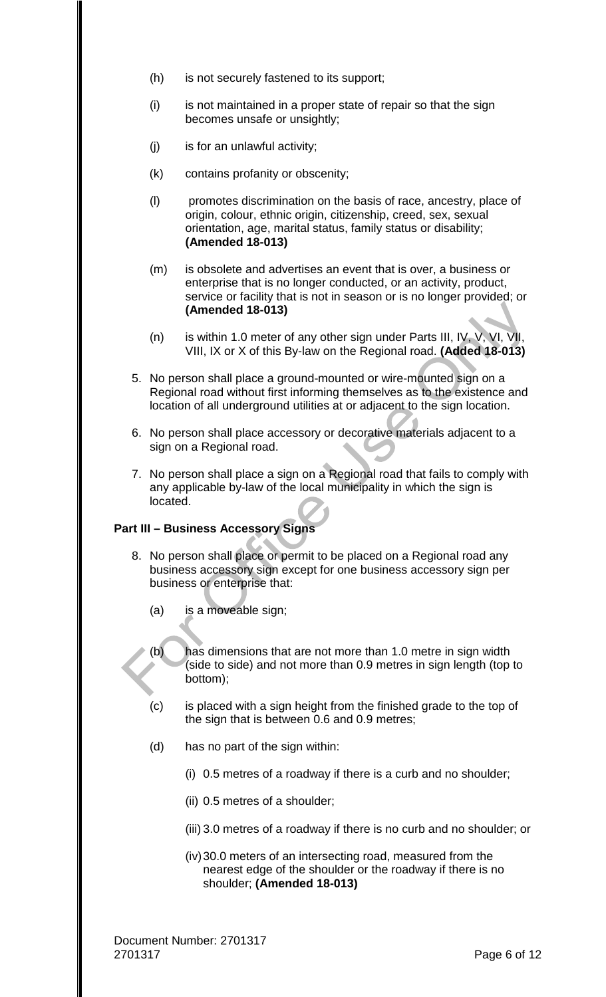- (h) is not securely fastened to its support;
- (i) is not maintained in a proper state of repair so that the sign becomes unsafe or unsightly;
- (j) is for an unlawful activity;
- (k) contains profanity or obscenity;
- (l) promotes discrimination on the basis of race, ancestry, place of origin, colour, ethnic origin, citizenship, creed, sex, sexual orientation, age, marital status, family status or disability; **(Amended 18-013)**
- (m) is obsolete and advertises an event that is over, a business or enterprise that is no longer conducted, or an activity, product, service or facility that is not in season or is no longer provided; or **(Amended 18-013)**
- (n) is within 1.0 meter of any other sign under Parts III, IV, V, VI, VII, VIII, IX or X of this By-law on the Regional road. **(Added 18-013)**
- 5. No person shall place a ground-mounted or wire-mounted sign on a Regional road without first informing themselves as to the existence and location of all underground utilities at or adjacent to the sign location.
- 6. No person shall place accessory or decorative materials adjacent to a sign on a Regional road.
- 7. No person shall place a sign on a Regional road that fails to comply with any applicable by-law of the local municipality in which the sign is located.

# **Part III – Business Accessory Signs**

- 8. No person shall place or permit to be placed on a Regional road any business accessory sign except for one business accessory sign per business or enterprise that:
	- (a) is a moveable sign;
	- (b) has dimensions that are not more than 1.0 metre in sign width (side to side) and not more than 0.9 metres in sign length (top to bottom);
	- (c) is placed with a sign height from the finished grade to the top of the sign that is between 0.6 and 0.9 metres;
	- (d) has no part of the sign within:
		- (i) 0.5 metres of a roadway if there is a curb and no shoulder;
		- (ii) 0.5 metres of a shoulder;
		- (iii) 3.0 metres of a roadway if there is no curb and no shoulder; or
		- (iv)30.0 meters of an intersecting road, measured from the nearest edge of the shoulder or the roadway if there is no shoulder; **(Amended 18-013)**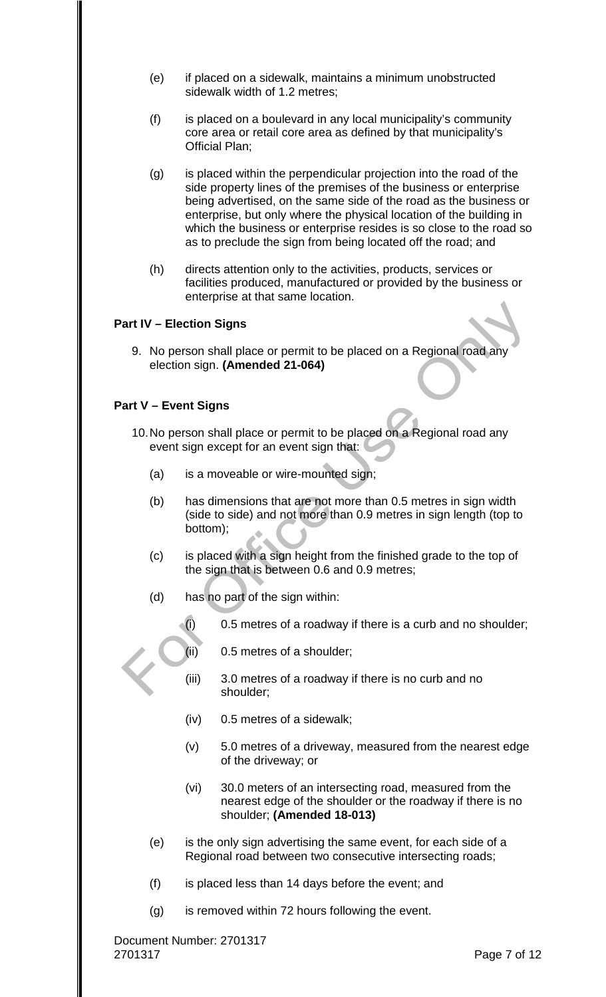- (e) if placed on a sidewalk, maintains a minimum unobstructed sidewalk width of 1.2 metres;
- (f) is placed on a boulevard in any local municipality's community core area or retail core area as defined by that municipality's Official Plan;
- (g) is placed within the perpendicular projection into the road of the side property lines of the premises of the business or enterprise being advertised, on the same side of the road as the business or enterprise, but only where the physical location of the building in which the business or enterprise resides is so close to the road so as to preclude the sign from being located off the road; and
- (h) directs attention only to the activities, products, services or facilities produced, manufactured or provided by the business or enterprise at that same location.

# **Part IV – Election Signs**

9. No person shall place or permit to be placed on a Regional road any election sign. **(Amended 21-064)**

# **Part V – Event Signs**

- 10.No person shall place or permit to be placed on a Regional road any event sign except for an event sign that:
	- (a) is a moveable or wire-mounted sign;
	- (b) has dimensions that are not more than 0.5 metres in sign width (side to side) and not more than 0.9 metres in sign length (top to bottom);
	- (c) is placed with a sign height from the finished grade to the top of the sign that is between 0.6 and 0.9 metres;
	- (d) has no part of the sign within:
		- $(i)$  0.5 metres of a roadway if there is a curb and no shoulder;
		- (ii) 0.5 metres of a shoulder;
		- (iii) 3.0 metres of a roadway if there is no curb and no shoulder;
		- (iv) 0.5 metres of a sidewalk;
		- (v) 5.0 metres of a driveway, measured from the nearest edge of the driveway; or
		- (vi) 30.0 meters of an intersecting road, measured from the nearest edge of the shoulder or the roadway if there is no shoulder; **(Amended 18-013)**
	- (e) is the only sign advertising the same event, for each side of a Regional road between two consecutive intersecting roads;
	- (f) is placed less than 14 days before the event; and
	- (g) is removed within 72 hours following the event.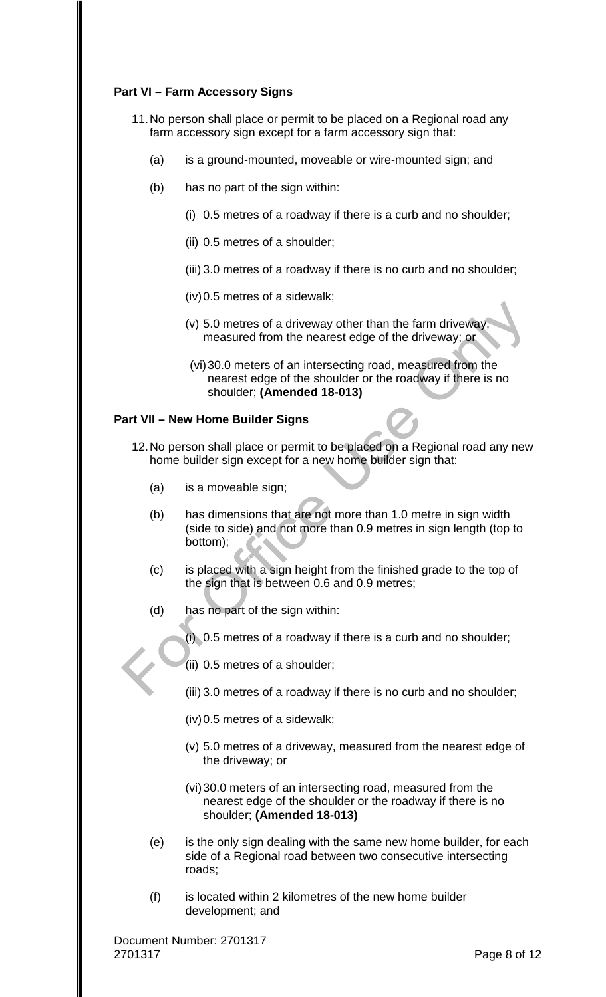# **Part VI – Farm Accessory Signs**

- 11.No person shall place or permit to be placed on a Regional road any farm accessory sign except for a farm accessory sign that:
	- (a) is a ground-mounted, moveable or wire-mounted sign; and
	- (b) has no part of the sign within:
		- (i) 0.5 metres of a roadway if there is a curb and no shoulder;
		- (ii) 0.5 metres of a shoulder;
		- (iii) 3.0 metres of a roadway if there is no curb and no shoulder;
		- (iv)0.5 metres of a sidewalk;
		- (v) 5.0 metres of a driveway other than the farm driveway, measured from the nearest edge of the driveway; or
		- (vi)30.0 meters of an intersecting road, measured from the nearest edge of the shoulder or the roadway if there is no shoulder; **(Amended 18-013)**

#### **Part VII – New Home Builder Signs**

- 12.No person shall place or permit to be placed on a Regional road any new home builder sign except for a new home builder sign that:
	- (a) is a moveable sign;
	- (b) has dimensions that are not more than 1.0 metre in sign width (side to side) and not more than 0.9 metres in sign length (top to bottom);
	- (c) is placed with a sign height from the finished grade to the top of the sign that is between 0.6 and 0.9 metres;
	- (d) has no part of the sign within:
		- (i) 0.5 metres of a roadway if there is a curb and no shoulder;
		- (ii) 0.5 metres of a shoulder;
		- (iii) 3.0 metres of a roadway if there is no curb and no shoulder;
		- (iv)0.5 metres of a sidewalk;
		- (v) 5.0 metres of a driveway, measured from the nearest edge of the driveway; or
		- (vi)30.0 meters of an intersecting road, measured from the nearest edge of the shoulder or the roadway if there is no shoulder; **(Amended 18-013)**
	- (e) is the only sign dealing with the same new home builder, for each side of a Regional road between two consecutive intersecting roads;
	- (f) is located within 2 kilometres of the new home builder development; and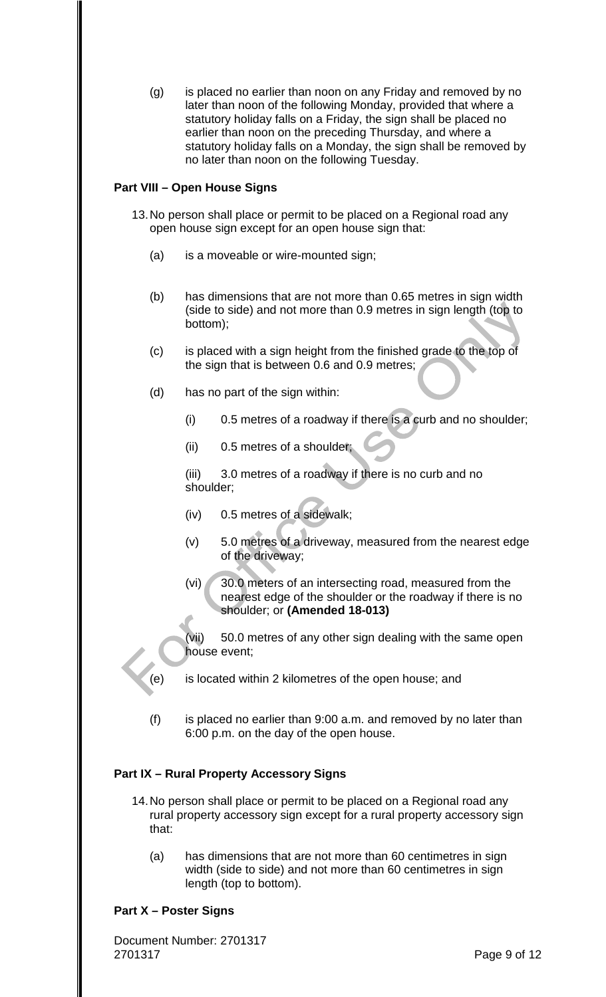(g) is placed no earlier than noon on any Friday and removed by no later than noon of the following Monday, provided that where a statutory holiday falls on a Friday, the sign shall be placed no earlier than noon on the preceding Thursday, and where a statutory holiday falls on a Monday, the sign shall be removed by no later than noon on the following Tuesday.

# **Part VIII – Open House Signs**

- 13.No person shall place or permit to be placed on a Regional road any open house sign except for an open house sign that:
	- (a) is a moveable or wire-mounted sign;
	- (b) has dimensions that are not more than 0.65 metres in sign width (side to side) and not more than 0.9 metres in sign length (top to bottom);
	- (c) is placed with a sign height from the finished grade to the top of the sign that is between 0.6 and 0.9 metres;
	- (d) has no part of the sign within:
		- (i) 0.5 metres of a roadway if there is a curb and no shoulder;
		- (ii) 0.5 metres of a shoulder;

(iii) 3.0 metres of a roadway if there is no curb and no shoulder;

- (iv) 0.5 metres of a sidewalk;
- (v) 5.0 metres of a driveway, measured from the nearest edge of the driveway;
- (vi) 30.0 meters of an intersecting road, measured from the nearest edge of the shoulder or the roadway if there is no shoulder; or **(Amended 18-013)**

(vii) 50.0 metres of any other sign dealing with the same open house event;

(e) is located within 2 kilometres of the open house; and

(f) is placed no earlier than 9:00 a.m. and removed by no later than 6:00 p.m. on the day of the open house.

# **Part IX – Rural Property Accessory Signs**

- 14.No person shall place or permit to be placed on a Regional road any rural property accessory sign except for a rural property accessory sign that:
	- (a) has dimensions that are not more than 60 centimetres in sign width (side to side) and not more than 60 centimetres in sign length (top to bottom).

# **Part X – Poster Signs**

Document Number: 2701317 2701317 Page 9 of 12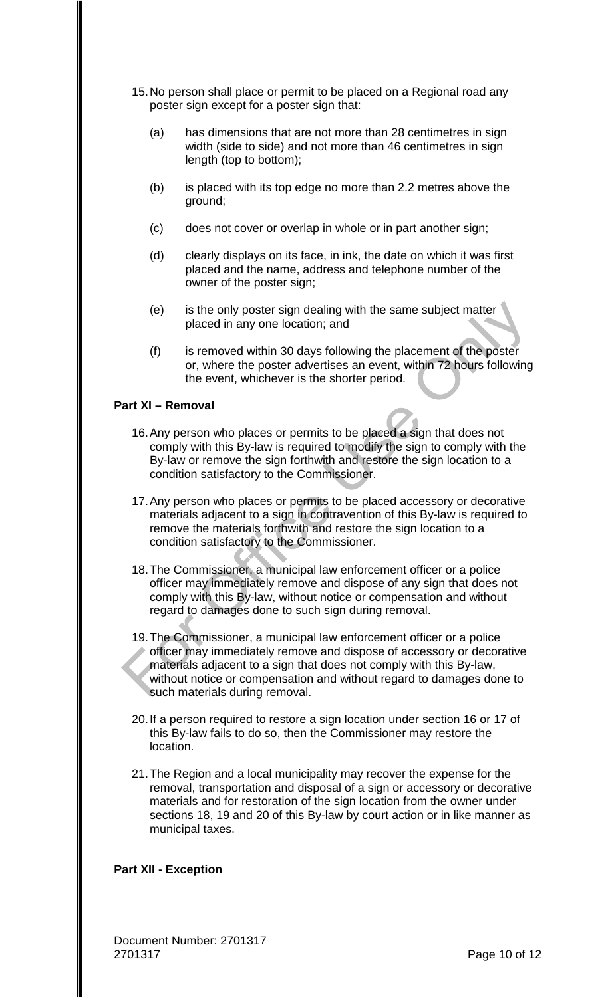- 15.No person shall place or permit to be placed on a Regional road any poster sign except for a poster sign that:
	- (a) has dimensions that are not more than 28 centimetres in sign width (side to side) and not more than 46 centimetres in sign length (top to bottom);
	- (b) is placed with its top edge no more than 2.2 metres above the ground;
	- (c) does not cover or overlap in whole or in part another sign;
	- (d) clearly displays on its face, in ink, the date on which it was first placed and the name, address and telephone number of the owner of the poster sign;
	- (e) is the only poster sign dealing with the same subject matter placed in any one location; and
	- (f) is removed within 30 days following the placement of the poster or, where the poster advertises an event, within 72 hours following the event, whichever is the shorter period.

# **Part XI – Removal**

- 16.Any person who places or permits to be placed a sign that does not comply with this By-law is required to modify the sign to comply with the By-law or remove the sign forthwith and restore the sign location to a condition satisfactory to the Commissioner.
- 17.Any person who places or permits to be placed accessory or decorative materials adjacent to a sign in contravention of this By-law is required to remove the materials forthwith and restore the sign location to a condition satisfactory to the Commissioner.
- 18.The Commissioner, a municipal law enforcement officer or a police officer may immediately remove and dispose of any sign that does not comply with this By-law, without notice or compensation and without regard to damages done to such sign during removal.
- 19.The Commissioner, a municipal law enforcement officer or a police officer may immediately remove and dispose of accessory or decorative materials adjacent to a sign that does not comply with this By-law, without notice or compensation and without regard to damages done to such materials during removal.
- 20.If a person required to restore a sign location under section 16 or 17 of this By-law fails to do so, then the Commissioner may restore the location.
- 21.The Region and a local municipality may recover the expense for the removal, transportation and disposal of a sign or accessory or decorative materials and for restoration of the sign location from the owner under sections 18, 19 and 20 of this By-law by court action or in like manner as municipal taxes.

# **Part XII - Exception**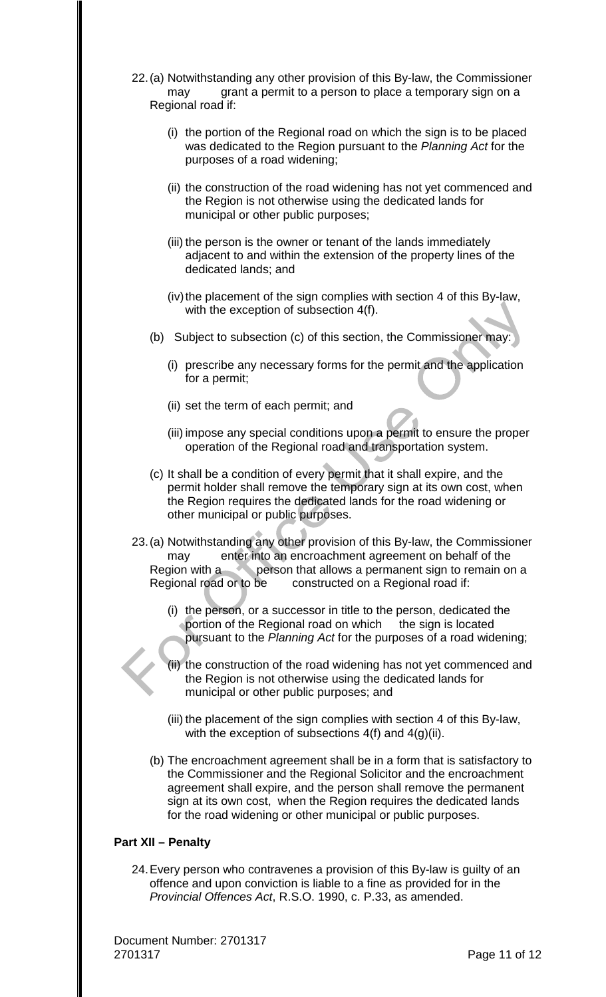- 22.(a) Notwithstanding any other provision of this By-law, the Commissioner may grant a permit to a person to place a temporary sign on a Regional road if:
	- (i) the portion of the Regional road on which the sign is to be placed was dedicated to the Region pursuant to the *Planning Act* for the purposes of a road widening;
	- (ii) the construction of the road widening has not yet commenced and the Region is not otherwise using the dedicated lands for municipal or other public purposes;
	- (iii) the person is the owner or tenant of the lands immediately adjacent to and within the extension of the property lines of the dedicated lands; and
	- (iv) the placement of the sign complies with section 4 of this By-law, with the exception of subsection 4(f).
	- (b) Subject to subsection (c) of this section, the Commissioner may:
		- (i) prescribe any necessary forms for the permit and the application for a permit;
		- (ii) set the term of each permit; and
		- (iii) impose any special conditions upon a permit to ensure the proper operation of the Regional road and transportation system.
	- (c) It shall be a condition of every permit that it shall expire, and the permit holder shall remove the temporary sign at its own cost, when the Region requires the dedicated lands for the road widening or other municipal or public purposes.
- 23.(a) Notwithstanding any other provision of this By-law, the Commissioner may enter into an encroachment agreement on behalf of the Region with a person that allows a permanent sign to remain on a Regional road or to be constructed on a Regional road if:
	- (i) the person, or a successor in title to the person, dedicated the portion of the Regional road on which the sign is located pursuant to the *Planning Act* for the purposes of a road widening;
	- the construction of the road widening has not yet commenced and the Region is not otherwise using the dedicated lands for municipal or other public purposes; and
	- (iii) the placement of the sign complies with section 4 of this By-law, with the exception of subsections  $4(f)$  and  $4(g)(ii)$ .
	- (b) The encroachment agreement shall be in a form that is satisfactory to the Commissioner and the Regional Solicitor and the encroachment agreement shall expire, and the person shall remove the permanent sign at its own cost, when the Region requires the dedicated lands for the road widening or other municipal or public purposes.

# **Part XII – Penalty**

24.Every person who contravenes a provision of this By-law is guilty of an offence and upon conviction is liable to a fine as provided for in the *Provincial Offences Act*, R.S.O. 1990, c. P.33, as amended.